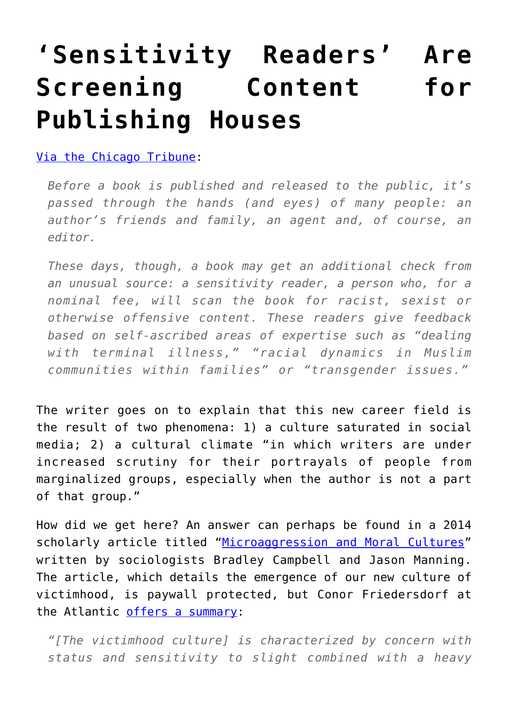## **['Sensitivity Readers' Are](https://intellectualtakeout.org/2017/02/sensitivity-readers-are-screening-content-for-publishing-houses/) [Screening Content for](https://intellectualtakeout.org/2017/02/sensitivity-readers-are-screening-content-for-publishing-houses/) [Publishing Houses](https://intellectualtakeout.org/2017/02/sensitivity-readers-are-screening-content-for-publishing-houses/)**

## [Via the Chicago Tribune](http://www.chicagotribune.com/lifestyles/books/ct-publishers-hiring-book-readers-to-flag-sensitivity-20170215-story.html):

*Before a book is published and released to the public, it's passed through the hands (and eyes) of many people: an author's friends and family, an agent and, of course, an editor.*

*These days, though, a book may get an additional check from an unusual source: a sensitivity reader, a person who, for a nominal fee, will scan the book for racist, sexist or otherwise offensive content. These readers give feedback based on self-ascribed areas of expertise such as "dealing with terminal illness," "racial dynamics in Muslim communities within families" or "transgender issues."*

The writer goes on to explain that this new career field is the result of two phenomena: 1) a culture saturated in social media; 2) a cultural climate "in which writers are under increased scrutiny for their portrayals of people from marginalized groups, especially when the author is not a part of that group."

How did we get here? An answer can perhaps be found in a 2014 scholarly article titled ["Microaggression and Moral Cultures"](http://booksandjournals.brillonline.com/content/journals/10.1163/15691330-12341332) written by sociologists Bradley Campbell and Jason Manning. The article, which details the emergence of our new culture of victimhood, is paywall protected, but Conor Friedersdorf at the Atlantic [offers a summary](https://www.theatlantic.com/politics/archive/2015/09/the-rise-of-victimhood-culture/404794/):

*"[The victimhood culture] is characterized by concern with status and sensitivity to slight combined with a heavy*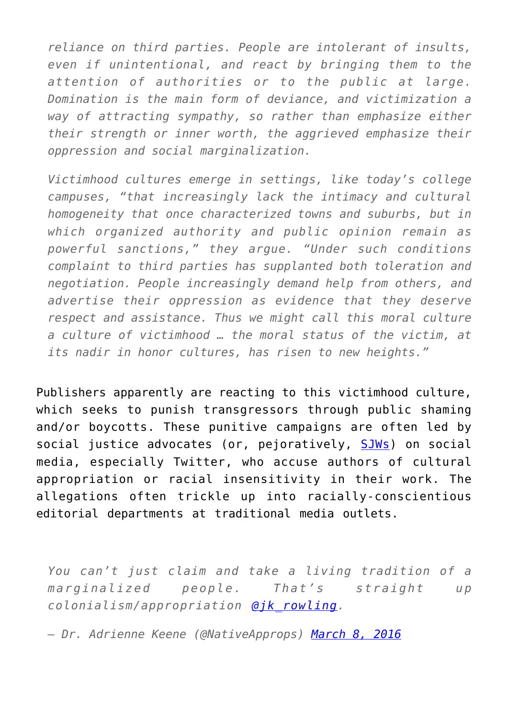*reliance on third parties. People are intolerant of insults, even if unintentional, and react by bringing them to the attention of authorities or to the public at large. Domination is the main form of deviance, and victimization a way of attracting sympathy, so rather than emphasize either their strength or inner worth, the aggrieved emphasize their oppression and social marginalization.*

*Victimhood cultures emerge in settings, like today's college campuses, "that increasingly lack the intimacy and cultural homogeneity that once characterized towns and suburbs, but in which organized authority and public opinion remain as powerful sanctions," they argue. "Under such conditions complaint to third parties has supplanted both toleration and negotiation. People increasingly demand help from others, and advertise their oppression as evidence that they deserve respect and assistance. Thus we might call this moral culture a culture of victimhood … the moral status of the victim, at its nadir in honor cultures, has risen to new heights."*

Publishers apparently are reacting to this victimhood culture, which seeks to punish transgressors through public shaming and/or boycotts. These punitive campaigns are often led by social justice advocates (or, pejoratively, [SJWs\)](http://www.urbandictionary.com/define.php?defid=5987912&term=SJW) on social media, especially Twitter, who accuse authors of cultural appropriation or racial insensitivity in their work. The allegations often trickle up into racially-conscientious editorial departments at traditional media outlets.

*You can't just claim and take a living tradition of a marginalized people. That's straight up colonialism/appropriation [@jk\\_rowling.](https://twitter.com/jk_rowling)*

*— Dr. Adrienne Keene (@NativeApprops) [March 8, 2016](https://twitter.com/NativeApprops/status/707222859932946432)*